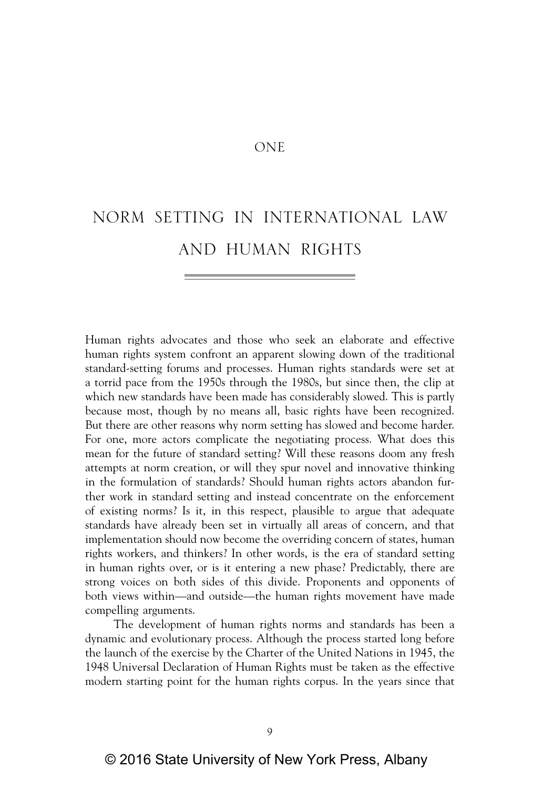## ONE

# NORM SETTING IN INTERNATIONAL LAW AND HUMAN RIGHTS

Human rights advocates and those who seek an elaborate and effective human rights system confront an apparent slowing down of the traditional standard-setting forums and processes. Human rights standards were set at a torrid pace from the 1950s through the 1980s, but since then, the clip at which new standards have been made has considerably slowed. This is partly because most, though by no means all, basic rights have been recognized. But there are other reasons why norm setting has slowed and become harder. For one, more actors complicate the negotiating process. What does this mean for the future of standard setting? Will these reasons doom any fresh attempts at norm creation, or will they spur novel and innovative thinking in the formulation of standards? Should human rights actors abandon further work in standard setting and instead concentrate on the enforcement of existing norms? Is it, in this respect, plausible to argue that adequate standards have already been set in virtually all areas of concern, and that implementation should now become the overriding concern of states, human rights workers, and thinkers? In other words, is the era of standard setting in human rights over, or is it entering a new phase? Predictably, there are strong voices on both sides of this divide. Proponents and opponents of both views within—and outside—the human rights movement have made compelling arguments.

The development of human rights norms and standards has been a dynamic and evolutionary process. Although the process started long before the launch of the exercise by the Charter of the United Nations in 1945, the 1948 Universal Declaration of Human Rights must be taken as the effective modern starting point for the human rights corpus. In the years since that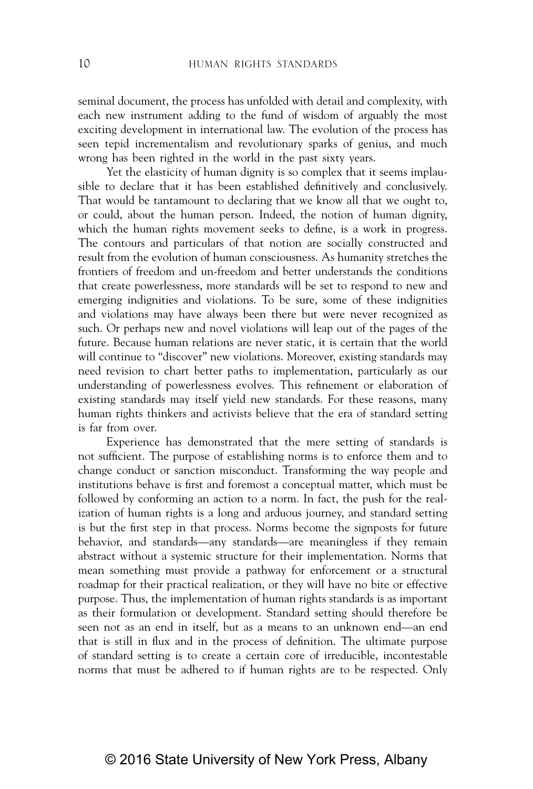seminal document, the process has unfolded with detail and complexity, with each new instrument adding to the fund of wisdom of arguably the most exciting development in international law. The evolution of the process has seen tepid incrementalism and revolutionary sparks of genius, and much wrong has been righted in the world in the past sixty years.

Yet the elasticity of human dignity is so complex that it seems implausible to declare that it has been established definitively and conclusively. That would be tantamount to declaring that we know all that we ought to, or could, about the human person. Indeed, the notion of human dignity, which the human rights movement seeks to define, is a work in progress. The contours and particulars of that notion are socially constructed and result from the evolution of human consciousness. As humanity stretches the frontiers of freedom and un-freedom and better understands the conditions that create powerlessness, more standards will be set to respond to new and emerging indignities and violations. To be sure, some of these indignities and violations may have always been there but were never recognized as such. Or perhaps new and novel violations will leap out of the pages of the future. Because human relations are never static, it is certain that the world will continue to "discover" new violations. Moreover, existing standards may need revision to chart better paths to implementation, particularly as our understanding of powerlessness evolves. This refinement or elaboration of existing standards may itself yield new standards. For these reasons, many human rights thinkers and activists believe that the era of standard setting is far from over.

Experience has demonstrated that the mere setting of standards is not sufficient. The purpose of establishing norms is to enforce them and to change conduct or sanction misconduct. Transforming the way people and institutions behave is first and foremost a conceptual matter, which must be followed by conforming an action to a norm. In fact, the push for the realization of human rights is a long and arduous journey, and standard setting is but the first step in that process. Norms become the signposts for future behavior, and standards—any standards—are meaningless if they remain abstract without a systemic structure for their implementation. Norms that mean something must provide a pathway for enforcement or a structural roadmap for their practical realization, or they will have no bite or effective purpose. Thus, the implementation of human rights standards is as important as their formulation or development. Standard setting should therefore be seen not as an end in itself, but as a means to an unknown end—an end that is still in flux and in the process of definition. The ultimate purpose of standard setting is to create a certain core of irreducible, incontestable norms that must be adhered to if human rights are to be respected. Only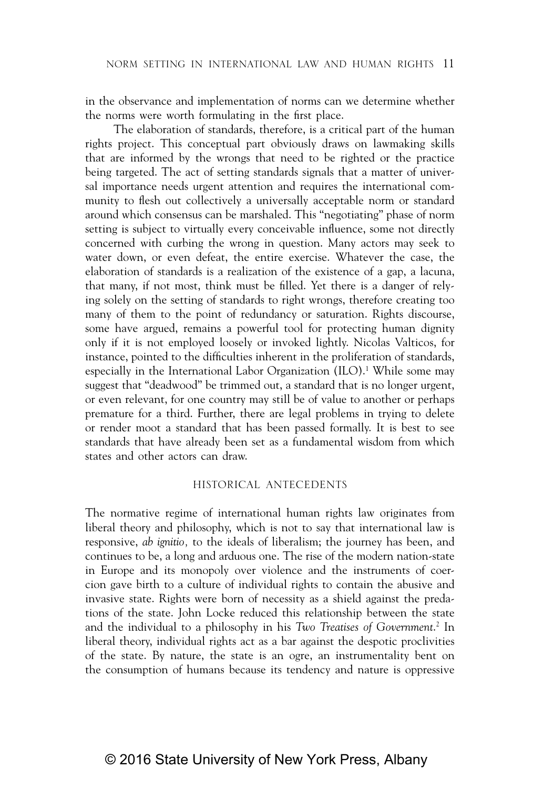in the observance and implementation of norms can we determine whether the norms were worth formulating in the first place.

The elaboration of standards, therefore, is a critical part of the human rights project. This conceptual part obviously draws on lawmaking skills that are informed by the wrongs that need to be righted or the practice being targeted. The act of setting standards signals that a matter of universal importance needs urgent attention and requires the international community to flesh out collectively a universally acceptable norm or standard around which consensus can be marshaled. This "negotiating" phase of norm setting is subject to virtually every conceivable influence, some not directly concerned with curbing the wrong in question. Many actors may seek to water down, or even defeat, the entire exercise. Whatever the case, the elaboration of standards is a realization of the existence of a gap, a lacuna, that many, if not most, think must be filled. Yet there is a danger of relying solely on the setting of standards to right wrongs, therefore creating too many of them to the point of redundancy or saturation. Rights discourse, some have argued, remains a powerful tool for protecting human dignity only if it is not employed loosely or invoked lightly. Nicolas Valticos, for instance, pointed to the difficulties inherent in the proliferation of standards, especially in the International Labor Organization (ILO).<sup>1</sup> While some may suggest that "deadwood" be trimmed out, a standard that is no longer urgent, or even relevant, for one country may still be of value to another or perhaps premature for a third. Further, there are legal problems in trying to delete or render moot a standard that has been passed formally. It is best to see standards that have already been set as a fundamental wisdom from which states and other actors can draw.

#### HISTORICAL ANTECEDENTS

The normative regime of international human rights law originates from liberal theory and philosophy, which is not to say that international law is responsive, *ab ignitio,* to the ideals of liberalism; the journey has been, and continues to be, a long and arduous one. The rise of the modern nation-state in Europe and its monopoly over violence and the instruments of coercion gave birth to a culture of individual rights to contain the abusive and invasive state. Rights were born of necessity as a shield against the predations of the state. John Locke reduced this relationship between the state and the individual to a philosophy in his *Two Treatises of Government*. 2 In liberal theory, individual rights act as a bar against the despotic proclivities of the state. By nature, the state is an ogre, an instrumentality bent on the consumption of humans because its tendency and nature is oppressive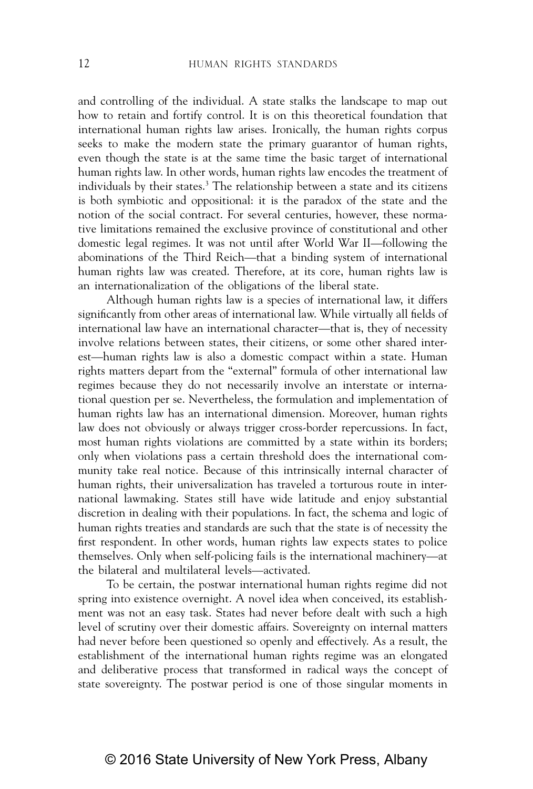and controlling of the individual. A state stalks the landscape to map out how to retain and fortify control. It is on this theoretical foundation that international human rights law arises. Ironically, the human rights corpus seeks to make the modern state the primary guarantor of human rights, even though the state is at the same time the basic target of international human rights law. In other words, human rights law encodes the treatment of individuals by their states.<sup>3</sup> The relationship between a state and its citizens is both symbiotic and oppositional: it is the paradox of the state and the notion of the social contract. For several centuries, however, these normative limitations remained the exclusive province of constitutional and other domestic legal regimes. It was not until after World War II—following the abominations of the Third Reich—that a binding system of international human rights law was created. Therefore, at its core, human rights law is an internationalization of the obligations of the liberal state.

Although human rights law is a species of international law, it differs significantly from other areas of international law. While virtually all fields of international law have an international character—that is, they of necessity involve relations between states, their citizens, or some other shared interest—human rights law is also a domestic compact within a state. Human rights matters depart from the "external" formula of other international law regimes because they do not necessarily involve an interstate or international question per se. Nevertheless, the formulation and implementation of human rights law has an international dimension. Moreover, human rights law does not obviously or always trigger cross-border repercussions. In fact, most human rights violations are committed by a state within its borders; only when violations pass a certain threshold does the international community take real notice. Because of this intrinsically internal character of human rights, their universalization has traveled a torturous route in international lawmaking. States still have wide latitude and enjoy substantial discretion in dealing with their populations. In fact, the schema and logic of human rights treaties and standards are such that the state is of necessity the first respondent. In other words, human rights law expects states to police themselves. Only when self-policing fails is the international machinery—at the bilateral and multilateral levels—activated.

To be certain, the postwar international human rights regime did not spring into existence overnight. A novel idea when conceived, its establishment was not an easy task. States had never before dealt with such a high level of scrutiny over their domestic affairs. Sovereignty on internal matters had never before been questioned so openly and effectively. As a result, the establishment of the international human rights regime was an elongated and deliberative process that transformed in radical ways the concept of state sovereignty. The postwar period is one of those singular moments in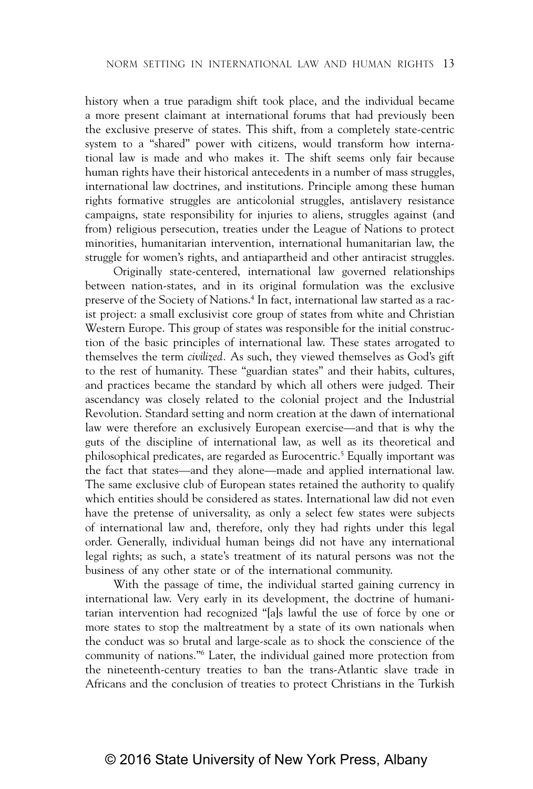history when a true paradigm shift took place, and the individual became a more present claimant at international forums that had previously been the exclusive preserve of states. This shift, from a completely state-centric system to a "shared" power with citizens, would transform how international law is made and who makes it. The shift seems only fair because human rights have their historical antecedents in a number of mass struggles, international law doctrines, and institutions. Principle among these human rights formative struggles are anticolonial struggles, antislavery resistance campaigns, state responsibility for injuries to aliens, struggles against (and from) religious persecution, treaties under the League of Nations to protect minorities, humanitarian intervention, international humanitarian law, the struggle for women's rights, and antiapartheid and other antiracist struggles.

Originally state-centered, international law governed relationships between nation-states, and in its original formulation was the exclusive preserve of the Society of Nations.4 In fact, international law started as a racist project: a small exclusivist core group of states from white and Christian Western Europe. This group of states was responsible for the initial construction of the basic principles of international law. These states arrogated to themselves the term *civilized.* As such, they viewed themselves as God's gift to the rest of humanity. These "guardian states" and their habits, cultures, and practices became the standard by which all others were judged. Their ascendancy was closely related to the colonial project and the Industrial Revolution. Standard setting and norm creation at the dawn of international law were therefore an exclusively European exercise—and that is why the guts of the discipline of international law, as well as its theoretical and philosophical predicates, are regarded as Eurocentric.<sup>5</sup> Equally important was the fact that states—and they alone—made and applied international law. The same exclusive club of European states retained the authority to qualify which entities should be considered as states. International law did not even have the pretense of universality, as only a select few states were subjects of international law and, therefore, only they had rights under this legal order. Generally, individual human beings did not have any international legal rights; as such, a state's treatment of its natural persons was not the business of any other state or of the international community.

With the passage of time, the individual started gaining currency in international law. Very early in its development, the doctrine of humanitarian intervention had recognized "[a]s lawful the use of force by one or more states to stop the maltreatment by a state of its own nationals when the conduct was so brutal and large-scale as to shock the conscience of the community of nations."6 Later, the individual gained more protection from the nineteenth-century treaties to ban the trans-Atlantic slave trade in Africans and the conclusion of treaties to protect Christians in the Turkish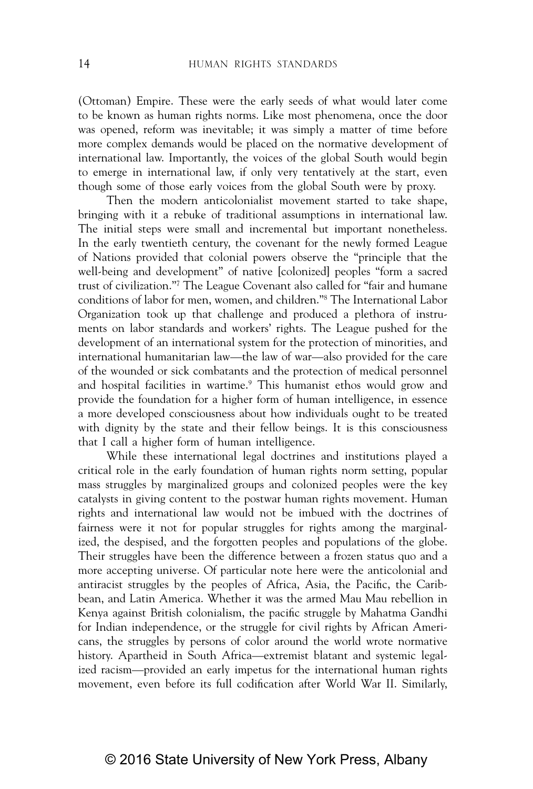(Ottoman) Empire. These were the early seeds of what would later come to be known as human rights norms. Like most phenomena, once the door was opened, reform was inevitable; it was simply a matter of time before more complex demands would be placed on the normative development of international law. Importantly, the voices of the global South would begin to emerge in international law, if only very tentatively at the start, even though some of those early voices from the global South were by proxy.

Then the modern anticolonialist movement started to take shape, bringing with it a rebuke of traditional assumptions in international law. The initial steps were small and incremental but important nonetheless. In the early twentieth century, the covenant for the newly formed League of Nations provided that colonial powers observe the "principle that the well-being and development" of native [colonized] peoples "form a sacred trust of civilization."7 The League Covenant also called for "fair and humane conditions of labor for men, women, and children."8 The International Labor Organization took up that challenge and produced a plethora of instruments on labor standards and workers' rights. The League pushed for the development of an international system for the protection of minorities, and international humanitarian law—the law of war—also provided for the care of the wounded or sick combatants and the protection of medical personnel and hospital facilities in wartime.<sup>9</sup> This humanist ethos would grow and provide the foundation for a higher form of human intelligence, in essence a more developed consciousness about how individuals ought to be treated with dignity by the state and their fellow beings. It is this consciousness that I call a higher form of human intelligence.

While these international legal doctrines and institutions played a critical role in the early foundation of human rights norm setting, popular mass struggles by marginalized groups and colonized peoples were the key catalysts in giving content to the postwar human rights movement. Human rights and international law would not be imbued with the doctrines of fairness were it not for popular struggles for rights among the marginalized, the despised, and the forgotten peoples and populations of the globe. Their struggles have been the difference between a frozen status quo and a more accepting universe. Of particular note here were the anticolonial and antiracist struggles by the peoples of Africa, Asia, the Pacific, the Caribbean, and Latin America. Whether it was the armed Mau Mau rebellion in Kenya against British colonialism, the pacific struggle by Mahatma Gandhi for Indian independence, or the struggle for civil rights by African Americans, the struggles by persons of color around the world wrote normative history. Apartheid in South Africa—extremist blatant and systemic legalized racism—provided an early impetus for the international human rights movement, even before its full codification after World War II. Similarly,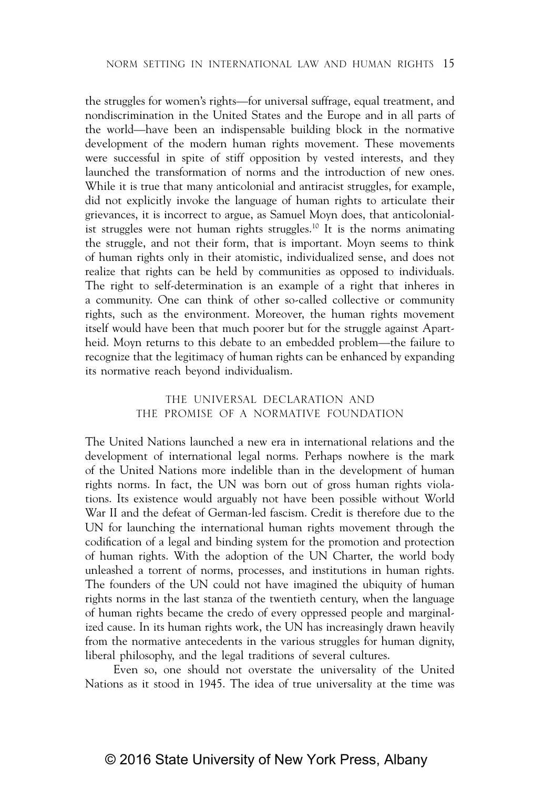the struggles for women's rights—for universal suffrage, equal treatment, and nondiscrimination in the United States and the Europe and in all parts of the world—have been an indispensable building block in the normative development of the modern human rights movement. These movements were successful in spite of stiff opposition by vested interests, and they launched the transformation of norms and the introduction of new ones. While it is true that many anticolonial and antiracist struggles, for example, did not explicitly invoke the language of human rights to articulate their grievances, it is incorrect to argue, as Samuel Moyn does, that anticolonialist struggles were not human rights struggles.10 It is the norms animating the struggle, and not their form, that is important. Moyn seems to think of human rights only in their atomistic, individualized sense, and does not realize that rights can be held by communities as opposed to individuals. The right to self-determination is an example of a right that inheres in a community. One can think of other so-called collective or community rights, such as the environment. Moreover, the human rights movement itself would have been that much poorer but for the struggle against Apartheid. Moyn returns to this debate to an embedded problem—the failure to recognize that the legitimacy of human rights can be enhanced by expanding its normative reach beyond individualism.

### THE UNIVERSAL DECLARATION AND THE PROMISE OF A NORMATIVE FOUNDATION

The United Nations launched a new era in international relations and the development of international legal norms. Perhaps nowhere is the mark of the United Nations more indelible than in the development of human rights norms. In fact, the UN was born out of gross human rights violations. Its existence would arguably not have been possible without World War II and the defeat of German-led fascism. Credit is therefore due to the UN for launching the international human rights movement through the codification of a legal and binding system for the promotion and protection of human rights. With the adoption of the UN Charter, the world body unleashed a torrent of norms, processes, and institutions in human rights. The founders of the UN could not have imagined the ubiquity of human rights norms in the last stanza of the twentieth century, when the language of human rights became the credo of every oppressed people and marginalized cause. In its human rights work, the UN has increasingly drawn heavily from the normative antecedents in the various struggles for human dignity, liberal philosophy, and the legal traditions of several cultures.

Even so, one should not overstate the universality of the United Nations as it stood in 1945. The idea of true universality at the time was

## © 2016 State University of New York Press, Albany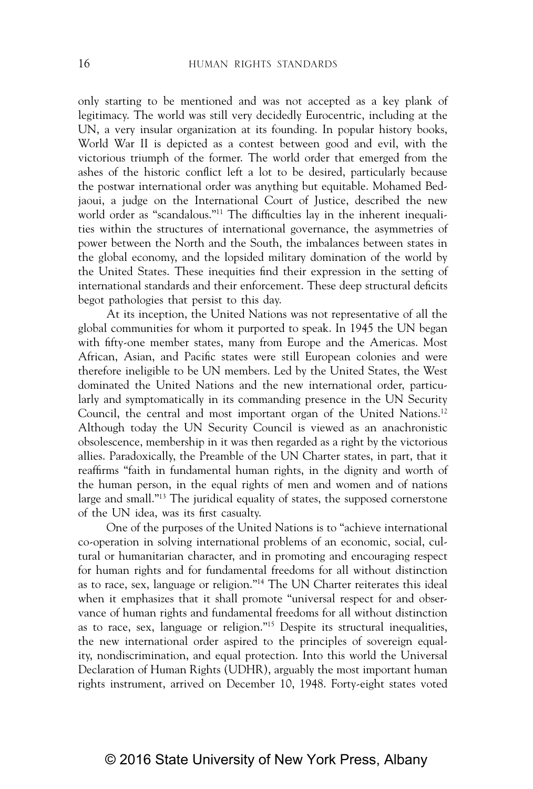only starting to be mentioned and was not accepted as a key plank of legitimacy. The world was still very decidedly Eurocentric, including at the UN, a very insular organization at its founding. In popular history books, World War II is depicted as a contest between good and evil, with the victorious triumph of the former. The world order that emerged from the ashes of the historic conflict left a lot to be desired, particularly because the postwar international order was anything but equitable. Mohamed Bedjaoui, a judge on the International Court of Justice, described the new world order as "scandalous."<sup>11</sup> The difficulties lay in the inherent inequalities within the structures of international governance, the asymmetries of power between the North and the South, the imbalances between states in the global economy, and the lopsided military domination of the world by the United States. These inequities find their expression in the setting of international standards and their enforcement. These deep structural deficits begot pathologies that persist to this day.

At its inception, the United Nations was not representative of all the global communities for whom it purported to speak. In 1945 the UN began with fifty-one member states, many from Europe and the Americas. Most African, Asian, and Pacific states were still European colonies and were therefore ineligible to be UN members. Led by the United States, the West dominated the United Nations and the new international order, particularly and symptomatically in its commanding presence in the UN Security Council, the central and most important organ of the United Nations.<sup>12</sup> Although today the UN Security Council is viewed as an anachronistic obsolescence, membership in it was then regarded as a right by the victorious allies. Paradoxically, the Preamble of the UN Charter states, in part, that it reaffirms "faith in fundamental human rights, in the dignity and worth of the human person, in the equal rights of men and women and of nations large and small."13 The juridical equality of states, the supposed cornerstone of the UN idea, was its first casualty.

One of the purposes of the United Nations is to "achieve international co-operation in solving international problems of an economic, social, cultural or humanitarian character, and in promoting and encouraging respect for human rights and for fundamental freedoms for all without distinction as to race, sex, language or religion."14 The UN Charter reiterates this ideal when it emphasizes that it shall promote "universal respect for and observance of human rights and fundamental freedoms for all without distinction as to race, sex, language or religion."15 Despite its structural inequalities, the new international order aspired to the principles of sovereign equality, nondiscrimination, and equal protection. Into this world the Universal Declaration of Human Rights (UDHR), arguably the most important human rights instrument, arrived on December 10, 1948. Forty-eight states voted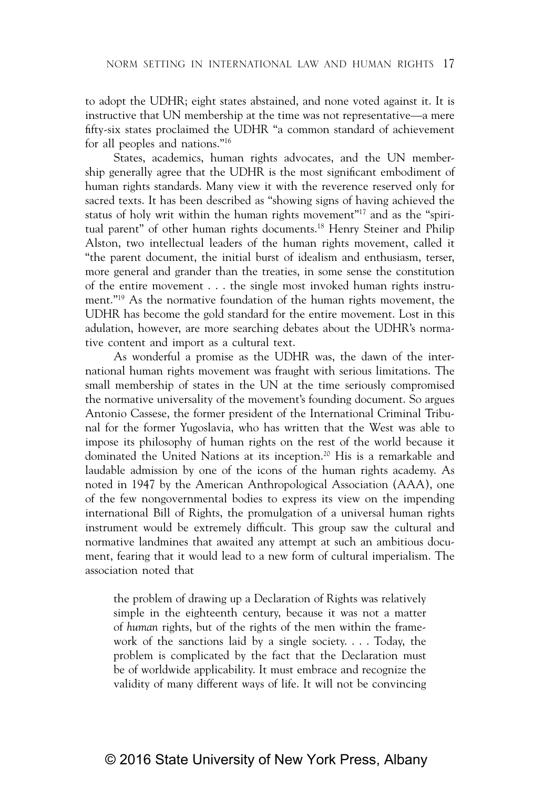to adopt the UDHR; eight states abstained, and none voted against it. It is instructive that UN membership at the time was not representative—a mere fifty-six states proclaimed the UDHR "a common standard of achievement for all peoples and nations."16

States, academics, human rights advocates, and the UN membership generally agree that the UDHR is the most significant embodiment of human rights standards. Many view it with the reverence reserved only for sacred texts. It has been described as "showing signs of having achieved the status of holy writ within the human rights movement"17 and as the "spiritual parent" of other human rights documents.<sup>18</sup> Henry Steiner and Philip Alston, two intellectual leaders of the human rights movement, called it "the parent document, the initial burst of idealism and enthusiasm, terser, more general and grander than the treaties, in some sense the constitution of the entire movement . . . the single most invoked human rights instrument."19 As the normative foundation of the human rights movement, the UDHR has become the gold standard for the entire movement. Lost in this adulation, however, are more searching debates about the UDHR's normative content and import as a cultural text.

As wonderful a promise as the UDHR was, the dawn of the international human rights movement was fraught with serious limitations. The small membership of states in the UN at the time seriously compromised the normative universality of the movement's founding document. So argues Antonio Cassese, the former president of the International Criminal Tribunal for the former Yugoslavia, who has written that the West was able to impose its philosophy of human rights on the rest of the world because it dominated the United Nations at its inception.<sup>20</sup> His is a remarkable and laudable admission by one of the icons of the human rights academy. As noted in 1947 by the American Anthropological Association (AAA), one of the few nongovernmental bodies to express its view on the impending international Bill of Rights, the promulgation of a universal human rights instrument would be extremely difficult. This group saw the cultural and normative landmines that awaited any attempt at such an ambitious document, fearing that it would lead to a new form of cultural imperialism. The association noted that

the problem of drawing up a Declaration of Rights was relatively simple in the eighteenth century, because it was not a matter of *human* rights, but of the rights of the men within the framework of the sanctions laid by a single society. . . . Today, the problem is complicated by the fact that the Declaration must be of worldwide applicability. It must embrace and recognize the validity of many different ways of life. It will not be convincing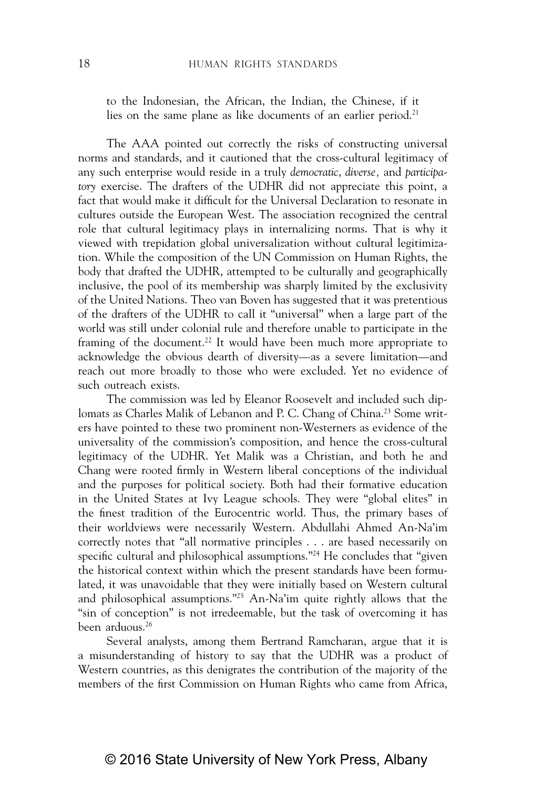to the Indonesian, the African, the Indian, the Chinese, if it lies on the same plane as like documents of an earlier period.<sup>21</sup>

The AAA pointed out correctly the risks of constructing universal norms and standards, and it cautioned that the cross-cultural legitimacy of any such enterprise would reside in a truly *democratic*, *diverse,* and *participatory* exercise. The drafters of the UDHR did not appreciate this point, a fact that would make it difficult for the Universal Declaration to resonate in cultures outside the European West. The association recognized the central role that cultural legitimacy plays in internalizing norms. That is why it viewed with trepidation global universalization without cultural legitimization. While the composition of the UN Commission on Human Rights, the body that drafted the UDHR, attempted to be culturally and geographically inclusive, the pool of its membership was sharply limited by the exclusivity of the United Nations. Theo van Boven has suggested that it was pretentious of the drafters of the UDHR to call it "universal" when a large part of the world was still under colonial rule and therefore unable to participate in the framing of the document.<sup>22</sup> It would have been much more appropriate to acknowledge the obvious dearth of diversity—as a severe limitation—and reach out more broadly to those who were excluded. Yet no evidence of such outreach exists.

The commission was led by Eleanor Roosevelt and included such diplomats as Charles Malik of Lebanon and P. C. Chang of China.<sup>23</sup> Some writers have pointed to these two prominent non-Westerners as evidence of the universality of the commission's composition, and hence the cross-cultural legitimacy of the UDHR. Yet Malik was a Christian, and both he and Chang were rooted firmly in Western liberal conceptions of the individual and the purposes for political society. Both had their formative education in the United States at Ivy League schools. They were "global elites" in the finest tradition of the Eurocentric world. Thus, the primary bases of their worldviews were necessarily Western. Abdullahi Ahmed An-Na'im correctly notes that "all normative principles . . . are based necessarily on specific cultural and philosophical assumptions."<sup>24</sup> He concludes that "given the historical context within which the present standards have been formulated, it was unavoidable that they were initially based on Western cultural and philosophical assumptions."25 An-Na'im quite rightly allows that the "sin of conception" is not irredeemable, but the task of overcoming it has been arduous.<sup>26</sup>

Several analysts, among them Bertrand Ramcharan, argue that it is a misunderstanding of history to say that the UDHR was a product of Western countries, as this denigrates the contribution of the majority of the members of the first Commission on Human Rights who came from Africa,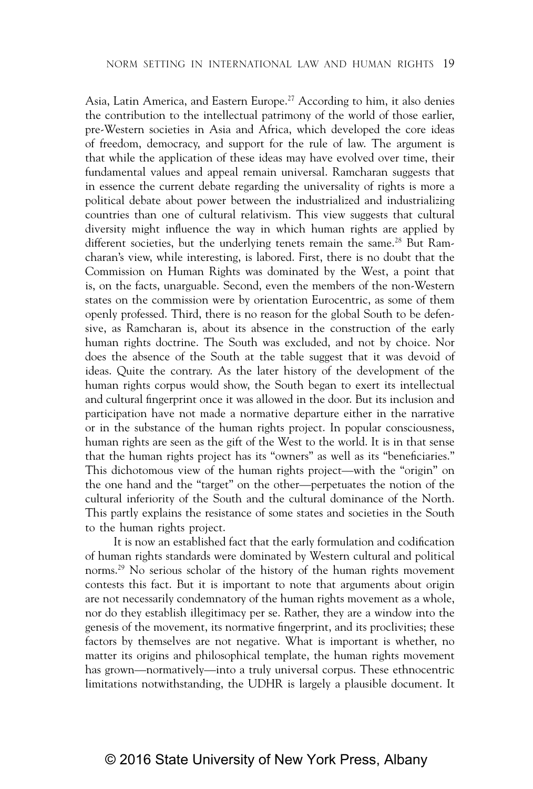Asia, Latin America, and Eastern Europe.<sup>27</sup> According to him, it also denies the contribution to the intellectual patrimony of the world of those earlier, pre-Western societies in Asia and Africa, which developed the core ideas of freedom, democracy, and support for the rule of law. The argument is that while the application of these ideas may have evolved over time, their fundamental values and appeal remain universal. Ramcharan suggests that in essence the current debate regarding the universality of rights is more a political debate about power between the industrialized and industrializing countries than one of cultural relativism. This view suggests that cultural diversity might influence the way in which human rights are applied by different societies, but the underlying tenets remain the same.<sup>28</sup> But Ramcharan's view, while interesting, is labored. First, there is no doubt that the Commission on Human Rights was dominated by the West, a point that is, on the facts, unarguable. Second, even the members of the non-Western states on the commission were by orientation Eurocentric, as some of them openly professed. Third, there is no reason for the global South to be defensive, as Ramcharan is, about its absence in the construction of the early human rights doctrine. The South was excluded, and not by choice. Nor does the absence of the South at the table suggest that it was devoid of ideas. Quite the contrary. As the later history of the development of the human rights corpus would show, the South began to exert its intellectual and cultural fingerprint once it was allowed in the door. But its inclusion and participation have not made a normative departure either in the narrative or in the substance of the human rights project. In popular consciousness, human rights are seen as the gift of the West to the world. It is in that sense that the human rights project has its "owners" as well as its "beneficiaries." This dichotomous view of the human rights project—with the "origin" on the one hand and the "target" on the other—perpetuates the notion of the cultural inferiority of the South and the cultural dominance of the North. This partly explains the resistance of some states and societies in the South to the human rights project.

It is now an established fact that the early formulation and codification of human rights standards were dominated by Western cultural and political norms.<sup>29</sup> No serious scholar of the history of the human rights movement contests this fact. But it is important to note that arguments about origin are not necessarily condemnatory of the human rights movement as a whole, nor do they establish illegitimacy per se. Rather, they are a window into the genesis of the movement, its normative fingerprint, and its proclivities; these factors by themselves are not negative. What is important is whether, no matter its origins and philosophical template, the human rights movement has grown—normatively—into a truly universal corpus. These ethnocentric limitations notwithstanding, the UDHR is largely a plausible document. It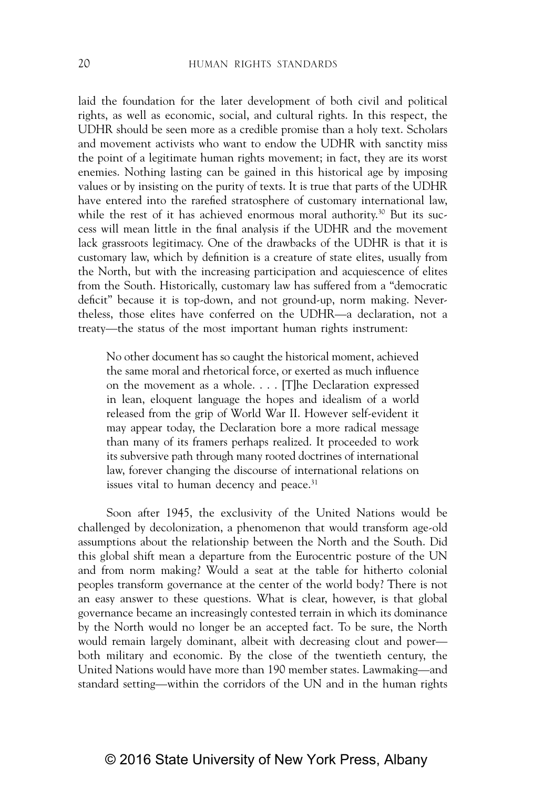laid the foundation for the later development of both civil and political rights, as well as economic, social, and cultural rights. In this respect, the UDHR should be seen more as a credible promise than a holy text. Scholars and movement activists who want to endow the UDHR with sanctity miss the point of a legitimate human rights movement; in fact, they are its worst enemies. Nothing lasting can be gained in this historical age by imposing values or by insisting on the purity of texts. It is true that parts of the UDHR have entered into the rarefied stratosphere of customary international law, while the rest of it has achieved enormous moral authority.<sup>30</sup> But its success will mean little in the final analysis if the UDHR and the movement lack grassroots legitimacy. One of the drawbacks of the UDHR is that it is customary law, which by definition is a creature of state elites, usually from the North, but with the increasing participation and acquiescence of elites from the South. Historically, customary law has suffered from a "democratic deficit" because it is top-down, and not ground-up, norm making. Nevertheless, those elites have conferred on the UDHR—a declaration, not a treaty—the status of the most important human rights instrument:

No other document has so caught the historical moment, achieved the same moral and rhetorical force, or exerted as much influence on the movement as a whole. . . . [T]he Declaration expressed in lean, eloquent language the hopes and idealism of a world released from the grip of World War II. However self-evident it may appear today, the Declaration bore a more radical message than many of its framers perhaps realized. It proceeded to work its subversive path through many rooted doctrines of international law, forever changing the discourse of international relations on issues vital to human decency and peace.<sup>31</sup>

Soon after 1945, the exclusivity of the United Nations would be challenged by decolonization, a phenomenon that would transform age-old assumptions about the relationship between the North and the South. Did this global shift mean a departure from the Eurocentric posture of the UN and from norm making? Would a seat at the table for hitherto colonial peoples transform governance at the center of the world body? There is not an easy answer to these questions. What is clear, however, is that global governance became an increasingly contested terrain in which its dominance by the North would no longer be an accepted fact. To be sure, the North would remain largely dominant, albeit with decreasing clout and power both military and economic. By the close of the twentieth century, the United Nations would have more than 190 member states. Lawmaking—and standard setting—within the corridors of the UN and in the human rights